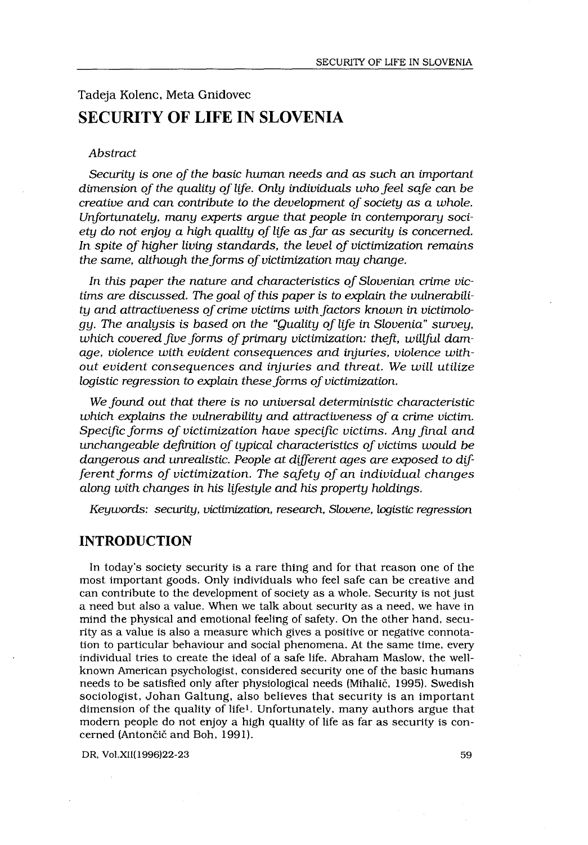# Tadeja Kolenc, Meta Gnidovec SECURITY OF LIFE IN SLOVENIA

#### Abstract

 

Security is one of the basic human needs and as such an important dimension of the quality of life. Only individuals who feel safe can be creative and can contribute to the development of society as a whole. Unfortunately, many experts argue that people in contemporary society do not enjoy a high quality of life as far as security is concerned . In spite of higher living standards, the level of victimization remains the same, although the forms of victimization may change.

In this paper the nature and characteristics of Slovenian crime victims are discussed. The goal of this paper is to explain the vulnerability and attractiveness of crime victims with factors known in victimology. The analysis is based on the "Quality of life in Slovenia" survey, which covered five forms of primary victimization: theft, willful damage, violence with evident consequences and injuries, violence without evident consequences and injuries and threat. We will utilize logistic regression to explain these forms of victimization.

We found out that there is no universal deterministic characteristic which explains the vulnerability and attractiveness of a crime victim. Specific forms of victimization have specific victims. Any final and unchangeable definition of typical characteristics of victims would be dangerous and unrealistic. People at different ages are exposed to different forms of victimization. The safety of an individual changes along with changes in his lifestyle and his property holdings.

Keywords: security, victimization, research, Slovene, logistic regression

## INTRODUCTION

In today's society security is a rare thing and for that reason one of the most important goods . Only individuals who feel safe can be creative and can contribute to the development of society as a whole . Security is not just a need but also a value . When we talk about security as a need, we have in mind the physical and emotional feeling of safety . On the other hand, security as a value is also a measure which gives a positive or negative connotation to particular behaviour and social phenomena . At the same time, every individual tries to create the ideal of a safe life . Abraham Maslow, the wellknown American psychologist, considered security one of the basic humans needs to be satisfied only after physiological needs (Mihalič, 1995) . Swedish sociologist, Johan Galtung, also believes that security is an important dimension of the quality of life<sup>1</sup>. Unfortunately, many authors argue that modern people do not enjoy a high quality of life as far as security is concerned (Antončič and Boh, 1991).

DR, Vol.XII(1996)22-23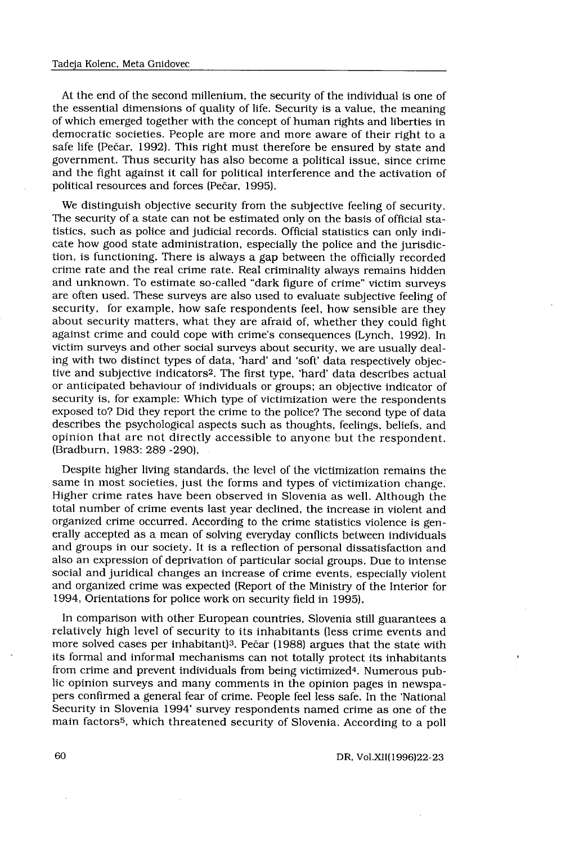At the end of the second millenium, the security of the individual is one of the essential dimensions of quality of life. Security is a value, the meaning of which emerged together with the concept of human rights and liberties in democratic societies. People are more and more aware of their right to a safe life (Pečar, 1992) . This right must therefore be ensured by state and government. Thus security has also become a political issue, since crime and the fight against it call for political interference and the activation of political resources and forces (Pečar, 1995).

We distinguish objective security from the subjective feeling of security . The security of a state can not be estimated only on the basis of official statistics, such as police and judicial records . Official statistics can only indicate how good state administration, especially the police and the jurisdiction, is functioning. There is always a gap between the officially recorded crime rate and the real crime rate. Real criminality always remains hidden and unknown. To estimate so-called "dark figure of crime" victim surveys are often used. These surveys are also used to evaluate subjective feeling of security, for example, how safe respondents feel, how sensible are they about security matters, what they are afraid of, whether they could fight against crime and could cope with crime's consequences (Lynch, 1992). In victim surveys and other social surveys about security, we are usually dealing with two distinct types of data, 'hard' and 'soft' data respectively objective and subjective indicators2 . The first type, 'hard' data describes actual or anticipated behaviour of individuals or groups; an objective indicator of security is, for example: Which type of victimization were the respondents exposed to? Did they report the crime to the police? The second type of data describes the psychological aspects such as thoughts, feelings, beliefs, and opinion that are not directly accessible to anyone but the respondent . (Bradburn, 1983: 289 -290) .

Despite higher living standards, the level of the victimization remains the same in most societies, just the forms and types of victimization change. Higher crime rates have been observed in Slovenia as well . Although the total number of crime events last year declined, the increase in violent and organized crime occurred. According to the crime statistics violence is generally accepted as a mean of solving everyday conflicts between individuals and groups in our society . It is a reflection of personal dissatisfaction and also an expression of deprivation of particular social groups . Due to intense social and juridical changes an increase of crime events, especially violent and organized crime was expected (Report of the Ministry of the Interior for 1994, Orientations for police work on security field in 1995) .

In comparison with other European countries, Slovenia still guarantees a relatively high level of security to its inhabitants (less crime events and more solved cases per inhabitant)3 . Pečar (1988) argues that the state with its formal and informal mechanisms can not totally protect its inhabitants from crime and prevent individuals from being victimized<sup>4</sup>. Numerous public opinion surveys and many comments in the opinion pages in newspapers confirmed a general fear of crime . People feel less safe . In the 'National Security in Slovenia 1994' survey respondents named crime as one of the main factors5, which threatened security of Slovenia . According to a poll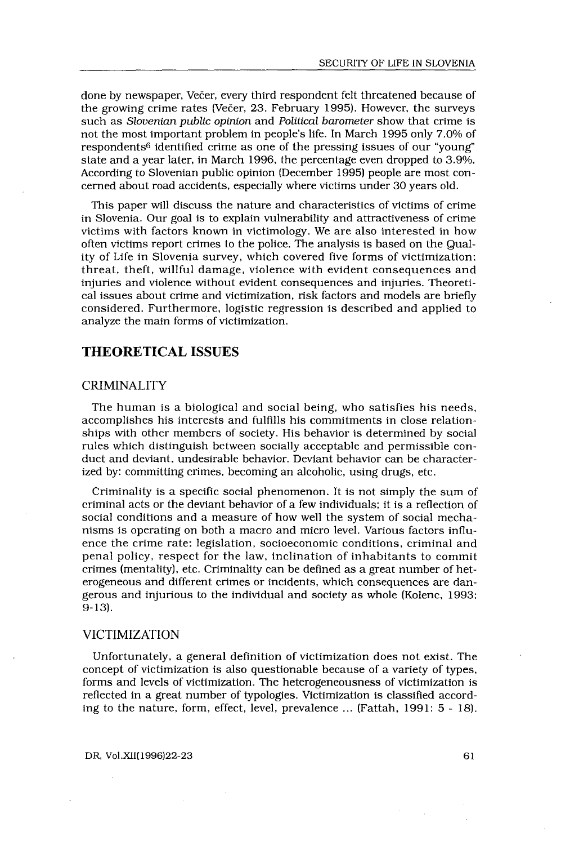done by newspaper, Večer, every third respondent felt threatened because of the growing crime rates (Večer, 23. February 1995). However, the surveys such as Slovenian public opinion and Political barometer show that crime is not the most important problem in people's life . In March 1995 only 7 .0% of respondents6 identified crime as one of the pressing issues of our "young" state and a year later, in March 1996, the percentage even dropped to 3 .9%. According to Slovenian public opinion (December 1995) people are most concerned about road accidents, especially where victims under 30 years old .

This paper will discuss the nature and characteristics of victims of crime in Slovenia . Our goal is to explain vulnerability and attractiveness of crime victims with factors known in victimology . We are also interested in how often victims report crimes to the police . The analysis is based on the Quality of Life in Slovenia survey, which covered five forms of victimization : threat, theft, willful damage, violence with evident consequences and injuries and violence without evident consequences and injuries . Theoretical issues about crime and victimization, risk factors and models are briefly considered . Furthermore, logistic regression is described and applied to analyze the main forms of victimization .

# THEORETICAL ISSUES

## CRIMINALITY

The human is a biological and social being, who satisfies his needs, accomplishes his interests and fulfills his commitments in close relationships with other members of society. His behavior is determined by social rules which distinguish between socially acceptable and permissible conduct and deviant, undesirable behavior . Deviant behavior can be characterized by: committing crimes, becoming an alcoholic, using drugs, etc.

Criminality is a specific social phenomenon . It is not simply the sum of criminal acts or the deviant behavior of a few individuals ; it is a reflection of social conditions and a measure of how well the system of social mechanisms is operating on both a macro and micro level . Various factors influence the crime rate: legislation, socioeconomic conditions, criminal and penal policy, respect for the law, inclination of inhabitants to commit crimes (mentality), etc. Criminality can be defined as a great number of heterogeneous and different crimes or incidents, which consequences are dangerous and injurious to the individual and society as whole (Kolenc, 1993 : 9-13) .

#### VICTIMIZATION

Unfortunately, a general definition of victimization does not exist. The concept of victimization is also questionable because of a variety of types, forms and levels of victimization . The heterogeneousness of victimization is reflected in a great number of typologies . Victimization is classified according to the nature, form, effect, level, prevalence  $\ldots$  (Fattah, 1991:  $5 - 18$ ).

DR, Vol.XII(1996)22-23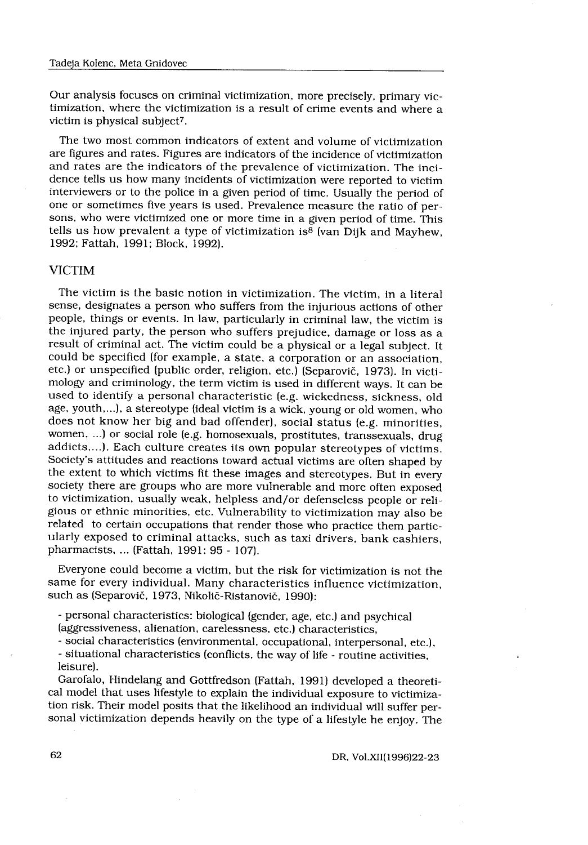Our analysis focuses on criminal victimization, more precisely, primary victimization, where the victimization is a result of crime events and where a victim is physical subject7 .

The two most common indicators of extent and volume of victimization are figures and rates. Figures are indicators of the incidence of victimization and rates are the indicators of the prevalence of victimization. The incidence tells us how many incidents of victimization were reported to victim interviewers or to the police in a given period of time. Usually the period of one or sometimes five years is used . Prevalence measure the ratio of persons, who were victimized one or more time in a given period of time. This tells us how prevalent a type of victimization is<sup>8</sup> (van Dijk and Mayhew, 1992; Fattah, 1991; Block, 1992).

## VICTIM

The victim is the basic notion in victimization . The victim, in a literal sense, designates a person who suffers from the injurious actions of other people, things or events. In law, particularly in criminal law, the victim is the injured party, the person who suffers prejudice, damage or loss as a result of criminal act. The victim could be a physical or a legal subject. It could be specified (for example, a state, a corporation or an association, etc .) or unspecified (public order, religion, etc .) (Separovič, 1973) . In victimology and criminology, the term victim is used in different ways . It can be used to identify a personal characteristic (e.g. wickedness, sickness, old age, youth,...), a stereotype (ideal victim is a wick, young or old women, who does not know her big and bad offender), social status (e.g. minorities, women, ...) or social role (e.g. homosexuals, prostitutes, transsexuals, drug addicts,...). Each culture creates its own popular stereotypes of victims. Society's attitudes and reactions toward actual victims are often shaped by the extent to which victims fit these images and stereotypes. But in every society there are groups who are more vulnerable and more often exposed to victimization, usually weak, helpless and/or defenseless people or religious or ethnic minorities, etc. Vulnerability to victimization may also be related to certain occupations that render those who practice them particularly exposed to criminal attacks, such as taxi drivers, bank cashiers, pharmacists, ... (Fattah, 1991: 95 - 107).

Everyone could become a victim, but the risk for victimization is not the same for every individual. Many characteristics influence victimization, such as (Separovič, 1973, Nikolič-Ristanovič, 1990) :

- personal characteristics : biological (gender, age, etc .) and psychical (aggressiveness, alienation, carelessness, etc .) characteristics,

- social characteristics (environmental, occupational, interpersonal, etc .),

- situational characteristics (conflicts, the way of life - routine activities, leisure).

Garofalo, Hindelang and Gottfredson (Fattah, 1991) developed a theoretical model that uses lifestyle to explain the individual exposure to victimization risk. Their model posits that the likelihood an individual will suffer personal victimization depends heavily on the type of a lifestyle he enjoy. The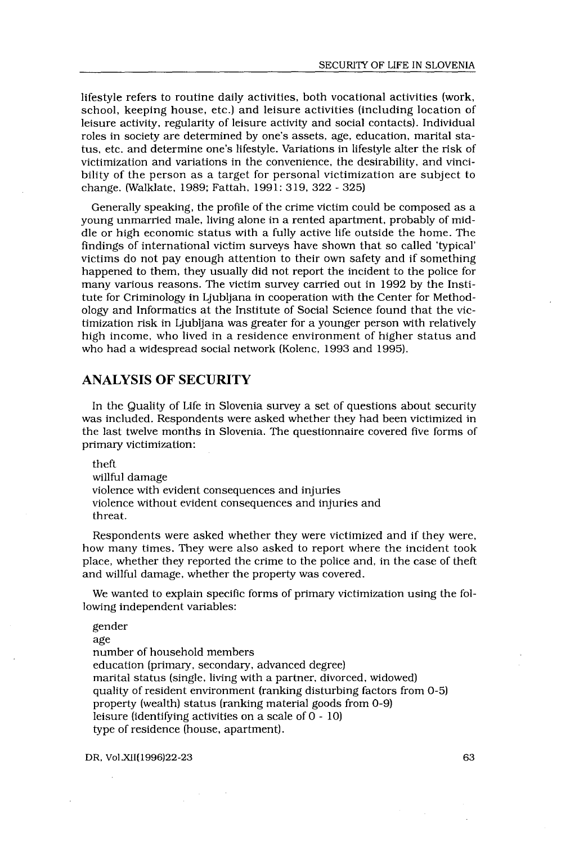lifestyle refers to routine daily activities, both vocational activities (work, school, keeping house, etc .) and leisure activities (including location of leisure activity, regularity of leisure activity and social contacts). Individual roles in society are determined by one's assets, age, education, marital status, etc . and determine one's lifestyle . Variations in lifestyle alter the risk of victimization and variations in the convenience, the desirability, and vincibility of the person as a target for personal victimization are subject to change. (Walklate, 1989; Fattah, 1991: 319, 322 - 325)

Generally speaking, the profile of the crime victim could be composed as a young unmarried male, living alone in a rented apartment, probably of middle or high economic status with a fully active life outside the home . The findings of international victim surveys have shown that so called 'typical' victims do not pay enough attention to their own safety and if something happened to them, they usually did not report the incident to the police for many various reasons. The victim survey carried out in 1992 by the Institute for Criminology in Ljubljana in cooperation with the Center for Methodology and Informatics at the Institute of Social Science found that the victimization risk in Ljubljana was greater for a younger person with relatively high income, who lived in a residence environment of higher status and who had a widespread social network (Kolenc, 1993 and 1995).

## ANALYSIS OF SECURITY

In the Quality of Life in Slovenia survey a set of questions about security was included . Respondents were asked whether they had been victimized in the last twelve months in Slovenia . The questionnaire covered five forms of primary victimization :

theft

willful damage violence with evident consequences and injuries violence without evident consequences and injuries and threat .

Respondents were asked whether they were victimized and if they were, how many times. They were also asked to report where the incident took place, whether they reported the crime to the police and, in the case of theft and willful damage, whether the property was covered .

We wanted to explain specific forms of primary victimization using the following independent variables:

gender age number of household members education (primary, secondary, advanced degree) marital status (single, living with a partner, divorced, widowed) quality of resident environment (ranking disturbing factors from 0-5) property (wealth) status (ranking material goods from 0-9) leisure (identifying activities on a scale of 0 - 10) type of residence (house, apartment) .

DR, Vol .XII(1996)22-23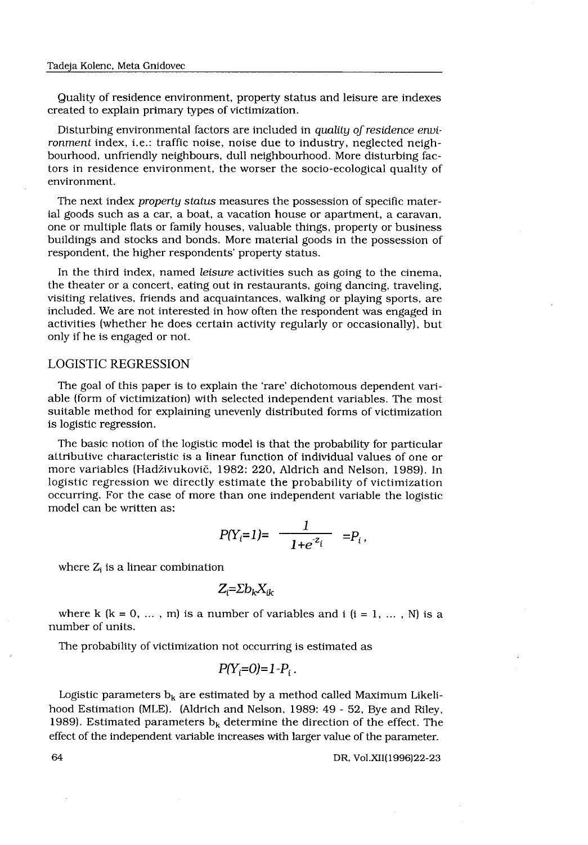Quality of residence environment, property status and leisure are indexes created to explain primary types of victimization .

Disturbing environmental factors are included in quality of residence environment index, i.e.: traffic noise, noise due to industry, neglected neighbourhood, unfriendly neighbours, dull neighbourhood . More disturbing factors in residence environment, the worser the socio-ecological quality of environment.

The next index property status measures the possession of specific material goods such as a car, a boat, a vacation house or apartment, a caravan, one or multiple flats or family houses, valuable things, property or business buildings and stocks and bonds . More material goods in the possession of respondent, the higher respondents' property status .

In the third index, named leisure activities such as going to the cinema, the theater or a concert, eating out in restaurants, going dancing, traveling, visiting relatives, friends and acquaintances, walking or playing sports, are included. We are not interested in how often the respondent was engaged in activities (whether he does certain activity regularly or occasionally), but only if he is engaged or not.

#### LOGISTIC REGRESSION

The goal of this paper is to explain the 'rare' dichotomous dependent variable (form of victimization) with selected independent variables. The most suitable method for explaining unevenly distributed forms of victimization is logistic regression.

The basic notion of the logistic model is that the probability for particular attributive characteristic is a linear function of individual values of one or more variables (Hadživukovič, 1982: 220, Aldrich and Nelson, 1989). In logistic regression we directly estimate the probability of victimization occurring. For the case of more than one independent variable the logistic model can be written as: Tabija Kolmo. Meta Guidowo<br>
Quality of readicate environment, property status and lessure are indexes<br>
created to explain pertany types of vectimization.<br>
Distribution contract latetical factors are included in quality of

$$
P(Y_i=1)=\frac{1}{1+e^{z_i}}=P_i,
$$

where  $Z_i$  is a linear combination

$$
Z_i = \Sigma b_k X_{ik}
$$

where k  $(k = 0, \ldots, m)$  is a number of variables and i  $(i = 1, \ldots, N)$  is a number of units.

The probability of victimization not occurring is estimated as

$$
P(Y_i=0)=1-P_i.
$$

Logistic parameters  $b_k$  are estimated by a method called Maximum Likelihood Estimation (MLE). (Aldrich and Nelson, 1989: 49 - 52, Bye and Riley, 1989). Estimated parameters  $b_k$  determine the direction of the effect. The effect of the independent variable increases with larger value of the parameter.

64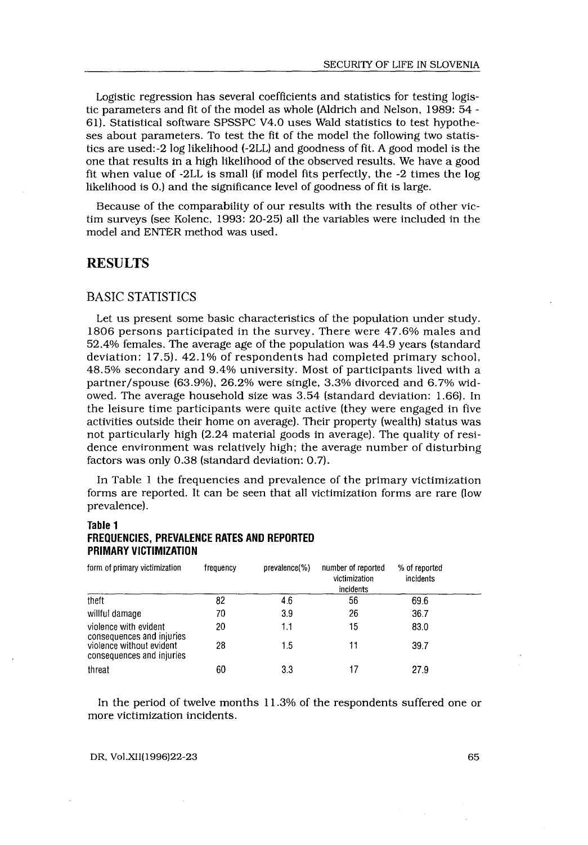Logistic regression has several coefficients and statistics for testing logistic parameters and fit of the model as whole (Aldrich and Nelson, 1989: 54 - 61). Statistical software SPSSPC V4.0 uses Wald statistics to test hypotheses about parameters. To test the fit of the model the following two statistics are used:-2 log likelihood (-2LL) and goodness of fit. A good model is the one that results in a high likelihood of the observed results . We have a good fit when value of -2LL is small (if model fits perfectly, the -2 times the log likelihood is 0.) and the significance level of goodness of fit is large.

Because of the comparability of our results with the results of other victim surveys (see Kolenc, 1993: 20-25) all the variables were included in the model and ENTER method was used.

## RESULTS

 

#### BASIC STATISTICS

Let us present some basic characteristics of the population under study . 1806 persons participated in the survey. There were 47.6% males and 52.4% females . The average age of the population was 44 .9 years (standard deviation: 17.5). 42.1% of respondents had completed primary school, 48.5% secondary and 9.4% university . Most of participants lived with a partner/spouse (63 .9%), 26 .2% were single, 3 .3% divorced and 6 .7% widowed. The average household size was 3.54 (standard deviation: 1.66). In the leisure time participants were quite active (they were engaged in five activities outside their home on average). Their property (wealth) status was not particularly high (2 .24 material goods in average) . The quality of residence environment was relatively high; the average number of disturbing factors was only 0.38 (standard deviation: 0.7).

In Table 1 the frequencies and prevalence of the primary victimization forms are reported. It can be seen that all victimization forms are rare (low prevalence) .

#### Table 1 FREQUENCIES, PREVALENCE RATES AND REPORTED PRIMARY VICTIMIZATION

| prevalence).                                                                          |           |               |                                                  |                            |  |
|---------------------------------------------------------------------------------------|-----------|---------------|--------------------------------------------------|----------------------------|--|
| Table 1<br>FREQUENCIES, PREVALENCE RATES AND REPORTED<br><b>PRIMARY VICTIMIZATION</b> |           |               |                                                  |                            |  |
| form of primary victimization                                                         | frequency | prevalence(%) | number of reported<br>victimization<br>incidents | % of reported<br>incidents |  |
| theft                                                                                 | 82        | 4.6           | 56                                               | 69.6                       |  |
| willful damage                                                                        | 70        | 3.9           | 26                                               | 36.7                       |  |
| violence with evident<br>consequences and injuries                                    | 20        | 1.1           | 15                                               | 83.0                       |  |
| violence without evident<br>consequences and injuries                                 | 28        | 1.5           | 11                                               | 39.7                       |  |
| threat                                                                                | 60        | 3.3           | 17                                               | 27.9                       |  |

In the period of twelve months 11 .3% of the respondents suffered one or more victimization incidents .

DR, Vol.XII(1996)22-23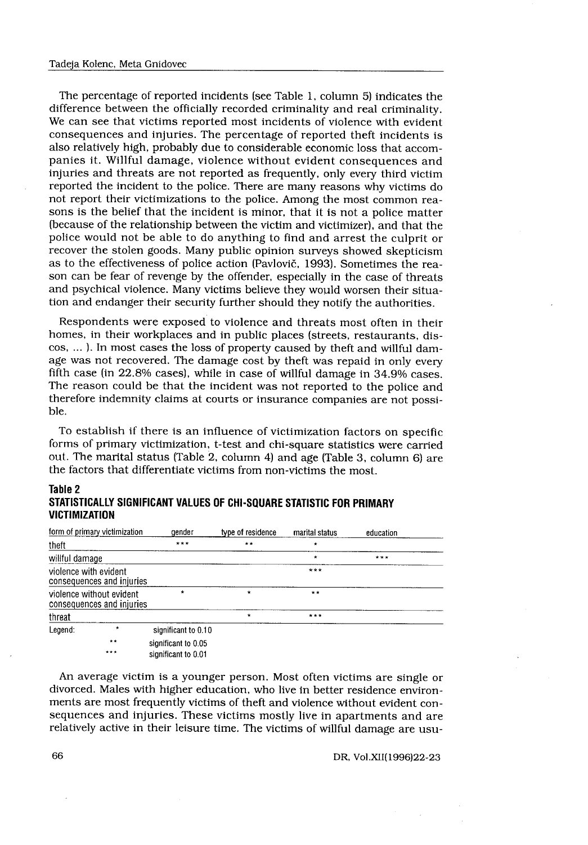The percentage of reported incidents (see Table 1, column 5) indicates the difference between the officially recorded criminality and real criminality . We can see that victims reported most incidents of violence with evident consequences and injuries . The percentage of reported theft incidents is also relatively high, probably due to considerable economic loss that accompanies it. Willful damage, violence without evident consequences and injuries and threats are not reported as frequently, only every third victim reported the incident to the police . There are many reasons why victims do not report their victimizations to the police . Among the most common reasons is the belief that the incident is minor, that it is not a police matter (because of the relationship between the victim and victimizer), and that the police would not be able to do anything to find and arrest the culprit or recover the stolen goods. Many public opinion surveys showed skepticism as to the effectiveness of police action (Pavlovič, 1993) . Sometimes the reason can be fear of revenge by the offender, especially in the case of threats and psychical violence . Many victims believe they would worsen their situation and endanger their security further should they notify the authorities .

Respondents were exposed to violence and threats most often in their homes, in their workplaces and in public places (streets, restaurants, discos, ... ). In most cases the loss of property caused by theft and willful damage was not recovered. The damage cost by theft was repaid in only every fifth case (in 22.8% cases), while in case of willful damage in 34.9% cases. The reason could be that the incident was not reported to the police and therefore indemnity claims at courts or insurance companies are not possible.

To establish if there is an influence of victimization factors on specific forms of primary victimization, t-test and chi-square statistics were carried out. The marital status (Table 2, column 4) and age (Table 3, column 6) are the factors that differentiate victims from non-victims the most.

|                          |                                                       | the factors that differentiate victims from non-victims the most.    |                   |                |           |  |
|--------------------------|-------------------------------------------------------|----------------------------------------------------------------------|-------------------|----------------|-----------|--|
| Table 2<br>VICTIMIZATION |                                                       | STATISTICALLY SIGNIFICANT VALUES OF CHI-SQUARE STATISTIC FOR PRIMARY |                   |                |           |  |
|                          | form of primary victimization                         | gender                                                               | type of residence | marital status | education |  |
| theft                    |                                                       | ***                                                                  | $* *$             |                |           |  |
| willful damage           |                                                       |                                                                      |                   | $\star$        | ***       |  |
| violence with evident    | consequences and injuries                             |                                                                      |                   | $***$          |           |  |
|                          | violence without evident<br>consequences and injuries | $\star$                                                              | $\star$           | $**$           |           |  |
| threat                   |                                                       |                                                                      | $\star$           | $x + t$        |           |  |
| Legend:                  | $\star$                                               | significant to 0.10                                                  |                   |                |           |  |
|                          | $\star$ $\star$<br>***                                | significant to 0.05<br>significant to 0.01                           |                   |                |           |  |

#### Table 2 STATISTICALLY SIGNIFICANT VALUES OF CHI-SQUARE STATISTIC FOR PRIMARY VICTIMIZATION

An average victim is a younger person . Most often victims are single or divorced. Males with higher education, who live in better residence environments are most frequently victims of theft and violence without evident consequences and injuries. These victims mostly live in apartments and are relatively active in their leisure time . The victims of willful damage are usu-

DR, Vol.XII(1996)22-23

66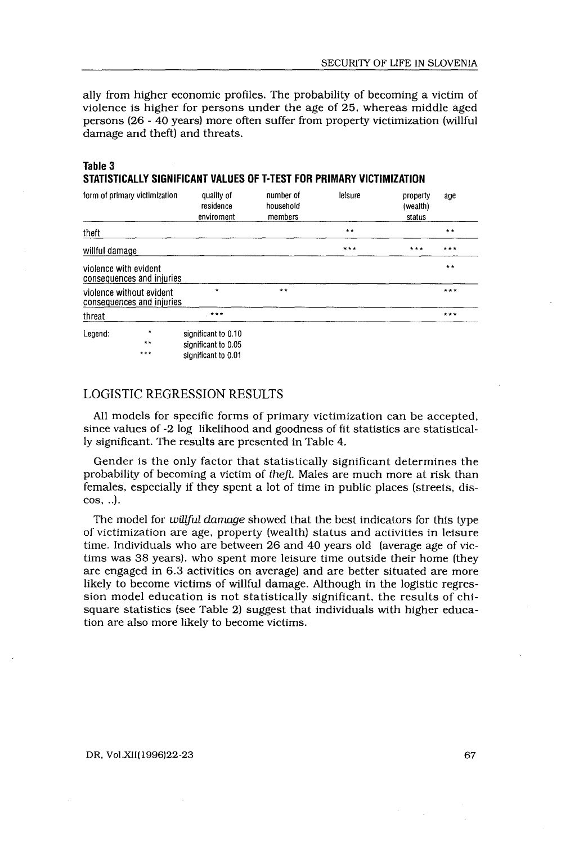ally from higher economic profiles. The probability of becoming a victim of violence is higher for persons under the age of 25, whereas middle aged persons (26 - 40 years) more often suffer from property victimization (willful damage and theft) and threats.

#### Table 3 STATISTICALLY SIGNIFICANT VALUES OF T-TEST FOR PRIMARY VICTIMIZATION

| Table 3               |                                                       | STATISTICALLY SIGNIFICANT VALUES OF T-TEST FOR PRIMARY VICTIMIZATION |                                   |         |                                |       |
|-----------------------|-------------------------------------------------------|----------------------------------------------------------------------|-----------------------------------|---------|--------------------------------|-------|
|                       | form of primary victimization                         | quality of<br>residence<br>enviroment                                | number of<br>household<br>members | leisure | property<br>(wealth)<br>status | age   |
| theft                 |                                                       |                                                                      |                                   | $* *$   |                                | $* *$ |
| willful damage        |                                                       |                                                                      |                                   | $* * *$ | ***                            | ***   |
| violence with evident | consequences and injuries                             |                                                                      |                                   |         |                                | $**$  |
|                       | violence without evident<br>consequences and injuries | $\star$                                                              | $* *$                             |         |                                | $***$ |
| threat                |                                                       | $* * * *$                                                            |                                   |         |                                | $***$ |
| Legend:               | $\star$<br>**<br>***                                  | significant to 0.10<br>significant to 0.05<br>significant to 0.01    |                                   |         |                                |       |

## LOGISTIC REGRESSION RESULTS

All models for specific forms of primary victimization can be accepted, since values of -2 log likelihood and goodness of fit statistics are statistically significant. The results are presented in Table 4.

Gender is the only factor that statistically significant determines the probability of becoming a victim of theft. Males are much more at risk than females, especially if they spent a lot of time in public places (streets, discos, . .) .

The model for willful damage showed that the best indicators for this type of victimization are age, property (wealth) status and activities in leisure time. Individuals who are between 26 and 40 years old (average age of victims was 38 years), who spent more leisure time outside their home (they are engaged in 6.3 activities on average) and are better situated are more likely to become victims of willful damage. Although in the logistic regression model education is not statistically significant, the results of chisquare statistics (see Table 2) suggest that individuals with higher education are also more likely to become victims .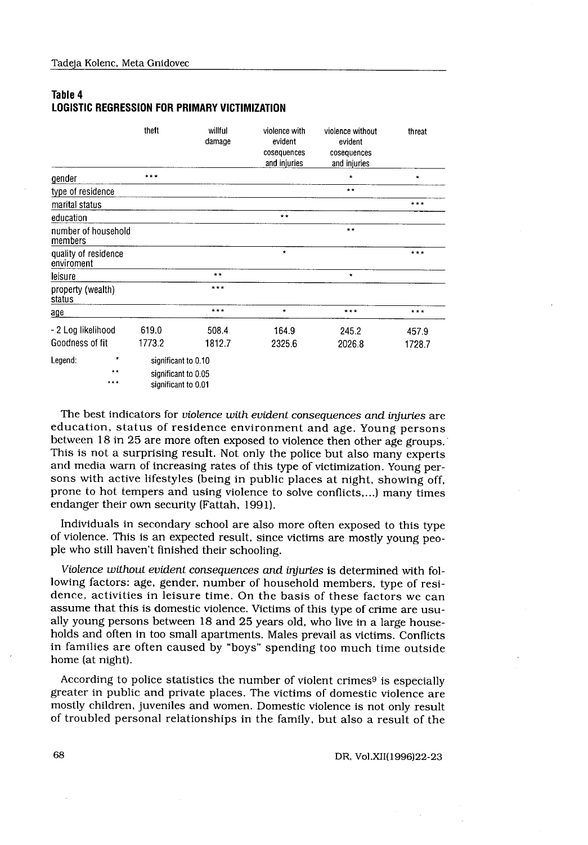## Table 4 LOGISTIC REGRESSION FOR PRIMARY VICTIMIZATION

|                                                                 | Tadeja Kolenc, Meta Gnidovec                                      |                   |                                                         |                                                            |         |  |  |  |
|-----------------------------------------------------------------|-------------------------------------------------------------------|-------------------|---------------------------------------------------------|------------------------------------------------------------|---------|--|--|--|
| Table 4<br><b>LOGISTIC REGRESSION FOR PRIMARY VICTIMIZATION</b> |                                                                   |                   |                                                         |                                                            |         |  |  |  |
|                                                                 | theft                                                             | willful<br>damage | violence with<br>evident<br>cosequences<br>and injuries | violence without<br>evident<br>cosequences<br>and injuries | threat  |  |  |  |
| gender                                                          | $* * *$                                                           |                   |                                                         | ×                                                          | $\star$ |  |  |  |
| type of residence                                               |                                                                   |                   |                                                         | $\star \star$                                              |         |  |  |  |
| marital status                                                  |                                                                   |                   |                                                         |                                                            | ***     |  |  |  |
| education                                                       |                                                                   |                   | $* *$                                                   |                                                            |         |  |  |  |
| number of household<br>members                                  |                                                                   |                   |                                                         | $* *$                                                      |         |  |  |  |
| quality of residence<br>enviroment                              |                                                                   |                   | $\star$                                                 |                                                            | $***$   |  |  |  |
| leisure                                                         |                                                                   | $\star\star$      |                                                         | $\star$                                                    |         |  |  |  |
| property (wealth)<br>status                                     |                                                                   | $***$             |                                                         |                                                            |         |  |  |  |
| age                                                             |                                                                   | $***$             | $\star$                                                 | $* * *$                                                    | $***$   |  |  |  |
| - 2 Log likelihood                                              | 619.0                                                             | 508.4             | 164.9                                                   | 245.2                                                      | 457.9   |  |  |  |
| Goodness of fit                                                 | 1773.2                                                            | 1812.7            | 2325.6                                                  | 2026.8                                                     | 1728.7  |  |  |  |
| Legend:<br>***                                                  | significant to 0.10<br>significant to 0.05<br>significant to 0.01 |                   |                                                         |                                                            |         |  |  |  |

The best indicators for violence with evident consequences and injuries are education, status of residence environment and age. Young persons between 18 in 25 are more often exposed to violence then other age groups. This is not a surprising result. Not only the police but also many experts and media warn of increasing rates of this type of victimization . Young persons with active lifestyles (being in public places at night, showing off, prone to hot tempers and using violence to solve conflicts,...) many times endanger their own security (Fattah, 1991).

Individuals in secondary school are also more often exposed to this type of violence . This is an expected result, since victims are mostly young people who still haven't finished their schooling.

Violence without evident consequences and injuries is determined with following factors: age, gender, number of household members, type of residence, activities in leisure time. On the basis of these factors we can assume that this is domestic violence . Victims of this type of crime are usually young persons between 18 and 25 years old, who live in a large households and often in too small apartments. Males prevail as victims. Conflicts in families are often caused by "boys" spending too much time outside home (at night).

According to police statistics the number of violent crimes<sup>9</sup> is especially greater in public and private places . The victims of domestic violence are mostly children, juveniles and women . Domestic violence is not only result of troubled personal relationships in the family, but also a result of the

DR, Vol.XII(1996)22-23

68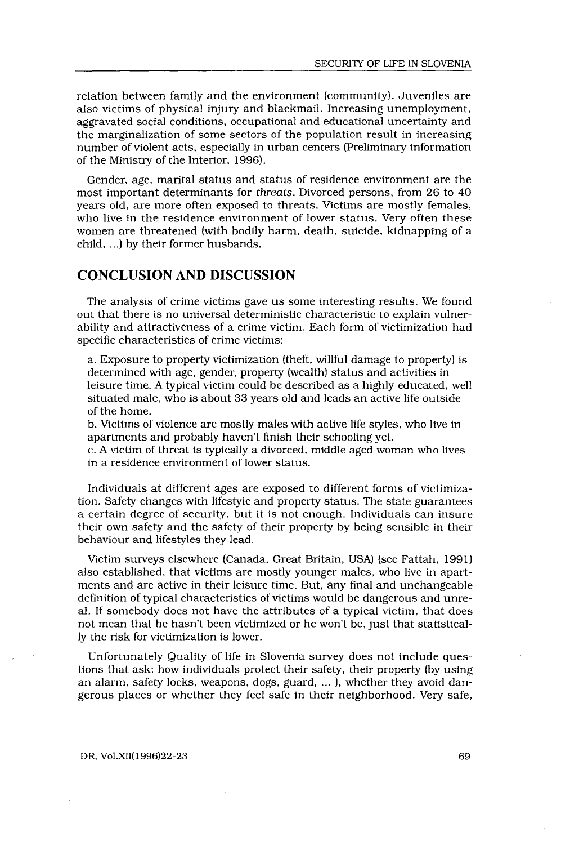relation between family and the environment (community). Juveniles are also victims of physical injury and blackmail. Increasing unemployment, aggravated social conditions, occupational and educational uncertainty and the marginalization of some sectors of the population result in increasing number of violent acts, especially in urban centers (Preliminary information of the Ministry of the Interior, 1996) .

Gender, age, marital status and status of residence environment are the most important determinants for threats . Divorced persons, from 26 to 40 years old, are more often exposed to threats. Victims are mostly females, who live in the residence environment of lower status. Very often these women are threatened (with bodily harm, death, suicide, kidnapping of a child, ...) by their former husbands.

# CONCLUSION AND DISCUSSION

The analysis of crime victims gave us some interesting results . We found out that there is no universal deterministic characteristic to explain vulnerability and attractiveness of a crime victim . Each form of victimization had specific characteristics of crime victims :

a. Exposure to property victimization (theft, willful damage to property) is determined with age, gender, property (wealth) status and activities in leisure time . A typical victim could be described as a highly educated, well situated male, who is about 33 years old and leads an active life outside of the home.

b. Victims of violence are mostly males with active life styles, who live in apartments and probably haven't finish their schooling yet .

c . A victim of threat is typically a divorced, middle aged woman who lives in a residence environment of lower status .

Individuals at different ages are exposed to different forms of victimization . Safety changes with lifestyle and property status . The state guarantees a certain degree of security, but it is not enough. Individuals can insure their own safety and the safety of their property by being sensible in their behaviour and lifestyles they lead .

Victim surveys elsewhere (Canada, Great Britain, USA) (see Fattah, 1991) also established, that victims are mostly younger males, who live in apartments and are active in their leisure time. But, any final and unchangeable definition of typical characteristics of victims would be dangerous and unreal. If somebody does not have the attributes of a typical victim, that does not mean that he hasn't been victimized or he won't be, just that statistically the risk for victimization is lower.

Unfortunately Quality of life in Slovenia survey does not include questions that ask: how individuals protect their safety, their property (by using an alarm, safety locks, weapons, dogs, guard, ... ), whether they avoid dangerous places or whether they feel safe in their neighborhood . Very safe,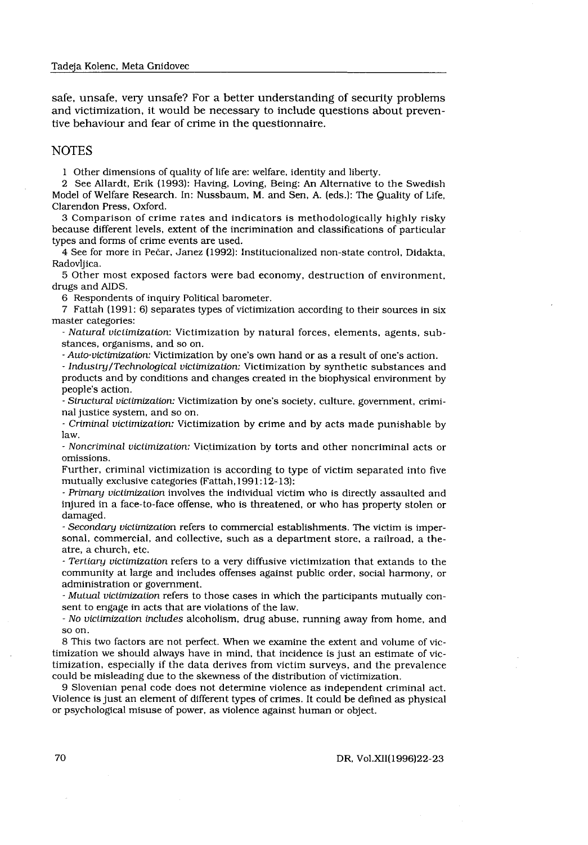safe, unsafe, very unsafe? For a better understanding of security problems and victimization, it would be necessary to include questions about preventive behaviour and fear of crime in the questionnaire.

#### **NOTES**

1 Other dimensions of quality of life are : welfare, identity and liberty .

2 See Allardt, Erik (1993): Having, Loving, Being: An Alternative to the Swedish Model of Welfare Research. In: Nussbaum, M. and Sen, A. (eds.): The Quality of Life, Clarendon Press, Oxford.

3 Comparison of crime rates and indicators is methodologically highly risky because different levels, extent of the incrimination and classifications of particular types and forms of crime events are used.

4 See for more in Pečar, Janez (1992) : Institucionalized non-state control, Didakta, Radovljica .

5 Other most exposed factors were bad economy, destruction of environment, drugs and AIDS.

6 Respondents of inquiry Political barometer .

7 Fattah (1991: 6) separates types of victimization according to their sources in six master categories:

- Natural victimization: Victimization by natural forces, elements, agents, substances, organisms, and so on .

Auto-victimization : Victimization by one's own hand or as a result of one's action .

Industry/Technological victimization: Victimization by synthetic substances and products and by conditions and changes created in the biophysical environment by people's action.

- Structural victimization: Victimization by one's society, culture, government, criminal justice system, and so on .

- Criminal victimization: Victimization by crime and by acts made punishable by law.

- Noncriminal victimization : Victimization by torts and other noncriminal acts or omissions.

Further, criminal victimization is according to type of victim separated into five mutually exclusive categories (Fattah, 1991:12-13):

- Primary victimization involves the individual victim who is directly assaulted and injured in a face-to-face offense, who is threatened, or who has property stolen or damaged.

- Secondary victimization refers to commercial establishments . The victim is impersonal, commercial, and collective, such as a department store, a railroad, a theatre, a church, etc.

- Tertiary victimization refers to a very diffusive victimization that extands to the community at large and includes offenses against public order, social harmony, or administration or government.

- Mutual victimization refers to those cases in which the participants mutually consent to engage in acts that are violations of the law.

- No victimization includes alcoholism, drug abuse, running away from home, and so on .

8 This two factors are not perfect . When we examine the extent and volume of victimization we should always have in mind, that incidence is just an estimate of victimization, especially if the data derives from victim surveys, and the prevalence could be misleading due to the skewness of the distribution of victimization .

9 Slovenian penal code does not determine violence as independent criminal act . Violence is just an element of different types of crimes . It could be defined as physical or psychological misuse of power, as violence against human or object.